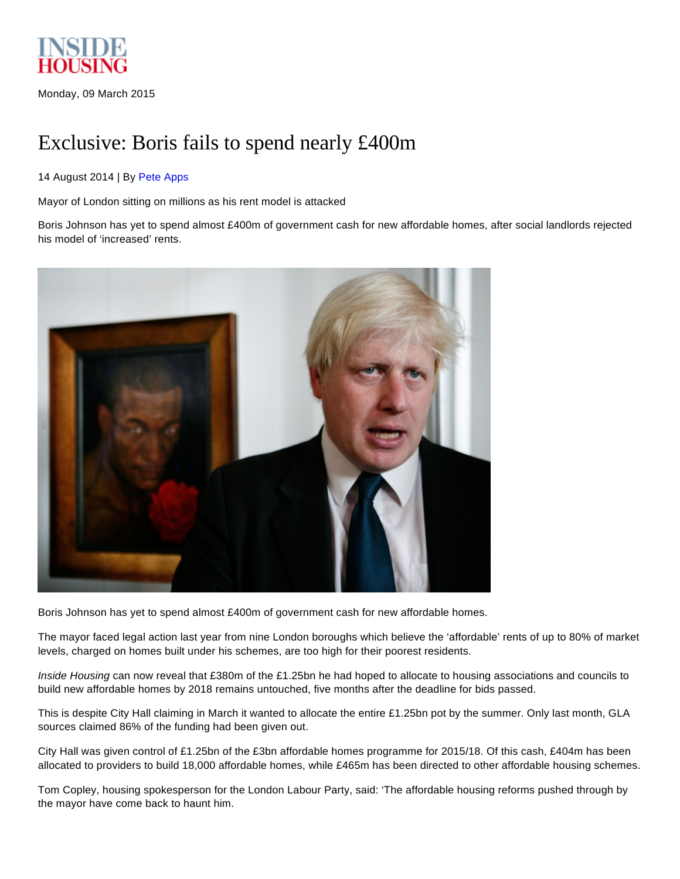

Monday, 09 March 2015

# Exclusive: Boris fails to spend nearly £400m

## 14 August 2014 | By Pete [Apps](http://www.insidehousing.co.uk/pete-apps/881.bio)

Mayor of London sitting on millions as his rent model is attacked

Boris Johnson has yet to spend almost £400m of government cash for new affordable homes, after social landlords rejected his model of 'increased' rents.



Boris Johnson has yet to spend almost £400m of government cash for new affordable homes.

The mayor faced legal action last year from nine London boroughs which believe the 'affordable' rents of up to 80% of market levels, charged on homes built under his schemes, are too high for their poorest residents.

*Inside Housing* can now reveal that £380m of the £1.25bn he had hoped to allocate to housing associations and councils to build new affordable homes by 2018 remains untouched, five months after the deadline for bids passed.

This is despite City Hall claiming in March it wanted to allocate the entire £1.25bn pot by the summer. Only last month, GLA sources claimed 86% of the funding had been given out.

City Hall was given control of £1.25bn of the £3bn affordable homes programme for 2015/18. Of this cash, £404m has been allocated to providers to build 18,000 affordable homes, while £465m has been directed to other affordable housing schemes.

Tom Copley, housing spokesperson for the London Labour Party, said: 'The affordable housing reforms pushed through by the mayor have come back to haunt him.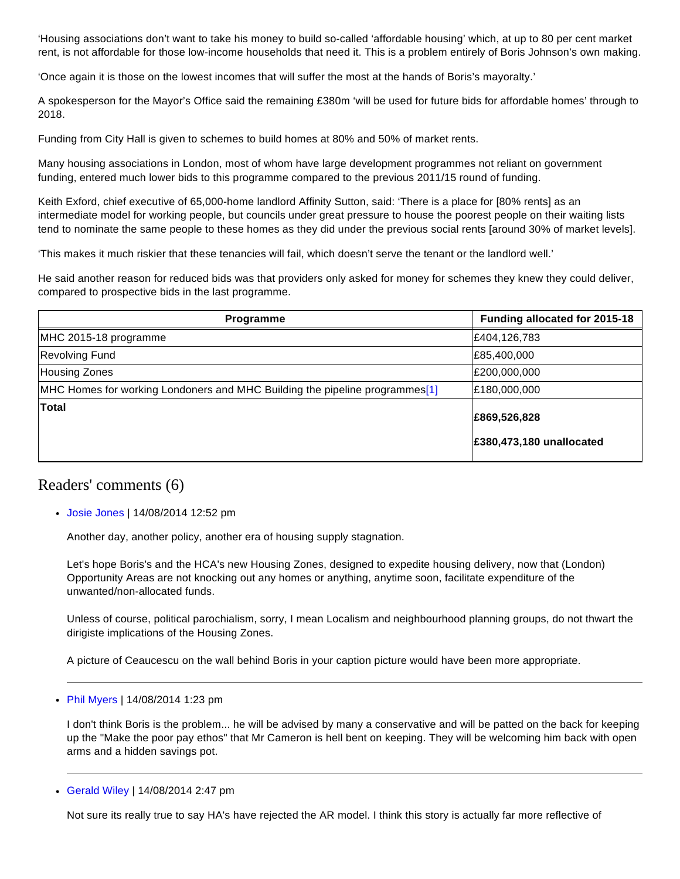'Housing associations don't want to take his money to build so-called 'affordable housing' which, at up to 80 per cent market rent, is not affordable for those low-income households that need it. This is a problem entirely of Boris Johnson's own making.

'Once again it is those on the lowest incomes that will suffer the most at the hands of Boris's mayoralty.'

A spokesperson for the Mayor's Office said the remaining £380m 'will be used for future bids for affordable homes' through to 2018.

Funding from City Hall is given to schemes to build homes at 80% and 50% of market rents.

Many housing associations in London, most of whom have large development programmes not reliant on government funding, entered much lower bids to this programme compared to the previous 2011/15 round of funding.

Keith Exford, chief executive of 65,000-home landlord Affinity Sutton, said: 'There is a place for [80% rents] as an intermediate model for working people, but councils under great pressure to house the poorest people on their waiting lists tend to nominate the same people to these homes as they did under the previous social rents [around 30% of market levels].

'This makes it much riskier that these tenancies will fail, which doesn't serve the tenant or the landlord well.'

He said another reason for reduced bids was that providers only asked for money for schemes they knew they could deliver, compared to prospective bids in the last programme.

| <b>Programme</b>                                                            | Funding allocated for 2015-18            |
|-----------------------------------------------------------------------------|------------------------------------------|
| MHC 2015-18 programme                                                       | £404,126,783                             |
| <b>Revolving Fund</b>                                                       | £85,400,000                              |
| Housing Zones                                                               | E200,000,000                             |
| MHC Homes for working Londoners and MHC Building the pipeline programmes[1] | E180,000,000                             |
| <b>Total</b>                                                                | £869,526,828<br>£380,473,180 unallocated |

## Readers' comments (6)

Josie [Jones](http://www.insidehousing.co.uk/josie-jones/65555.publicprofile) | 14/08/2014 12:52 pm

Another day, another policy, another era of housing supply stagnation.

Let's hope Boris's and the HCA's new Housing Zones, designed to expedite housing delivery, now that (London) Opportunity Areas are not knocking out any homes or anything, anytime soon, facilitate expenditure of the unwanted/non-allocated funds.

Unless of course, political parochialism, sorry, I mean Localism and neighbourhood planning groups, do not thwart the dirigiste implications of the Housing Zones.

A picture of Ceaucescu on the wall behind Boris in your caption picture would have been more appropriate.

• Phil [Myers](http://www.insidehousing.co.uk/phil-myers/64687.publicprofile) | 14/08/2014 1:23 pm

I don't think Boris is the problem... he will be advised by many a conservative and will be patted on the back for keeping up the "Make the poor pay ethos" that Mr Cameron is hell bent on keeping. They will be welcoming him back with open arms and a hidden savings pot.

[Gerald](http://www.insidehousing.co.uk/gerald-wiley/18162.publicprofile) Wiley | 14/08/2014 2:47 pm

Not sure its really true to say HA's have rejected the AR model. I think this story is actually far more reflective of